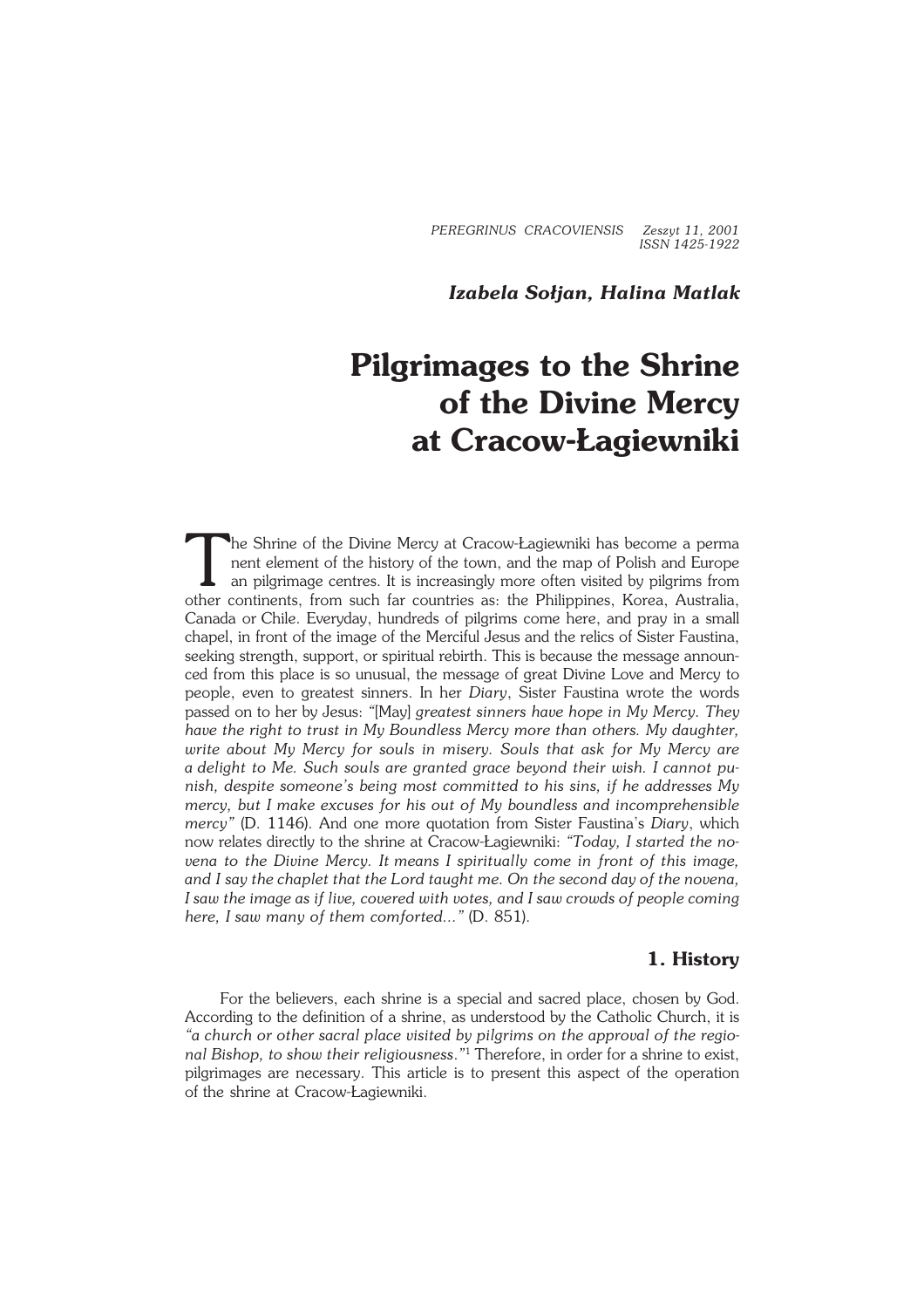*PEREGRINUS CRACOVIENSIS Zeszyt 11, 2001 ISSN 1425−1922*

## *Izabela Sołjan, Halina Matlak*

# **Pilgrimages to the Shrine of the Divine Mercy at Cracow−Łagiewniki**

T he Shrine of the Divine Mercy at Cracow−Łagiewniki has become a perma nent element of the history of the town, and the map of Polish and Europe an pilgrimage centres. It is increasingly more often visited by pilgrims from other continents, from such far countries as: the Philippines, Korea, Australia, Canada or Chile. Everyday, hundreds of pilgrims come here, and pray in a small chapel, in front of the image of the Merciful Jesus and the relics of Sister Faustina, seeking strength, support, or spiritual rebirth. This is because the message announ− ced from this place is so unusual, the message of great Divine Love and Mercy to people, even to greatest sinners. In her *Diary*, Sister Faustina wrote the words passed on to her by Jesus: *"*[May] *greatest sinners have hope in My Mercy. They have the right to trust in My Boundless Mercy more than others. My daughter, write about My Mercy for souls in misery. Souls that ask for My Mercy are adelight to Me. Such souls are granted grace beyond their wish. I cannot pu− nish, despite someone's being most committed to his sins, if he addresses My mercy, but I make excuses for his out of My boundless and incomprehensible mercy"* (D. 1146). And one more quotation from Sister Faustina's *Diary*, which now relates directly to the shrine at Cracow−Łagiewniki: *"Today, I started the no− vena to the Divine Mercy. Itmeans I spiritually come in front of this image, andIsay the chaplet that the Lord taught me. On the second day of the novena, I saw the image as if live, covered with votes, and I saw crowds of people coming here, I saw many of them comforted..."* (D. 851).

#### **1. History**

For the believers, each shrine is a special and sacred place, chosen by God. According to the definition of a shrine, as understood by the Catholic Church, it is *"a church or other sacral place visited by pilgrims on the approval of the regio− nal Bishop, to show their religiousness*.*"* <sup>1</sup> Therefore, in order for a shrine to exist, pilgrimages are necessary. This article is to present this aspect of the operation of the shrine at Cracow-Łagiewniki.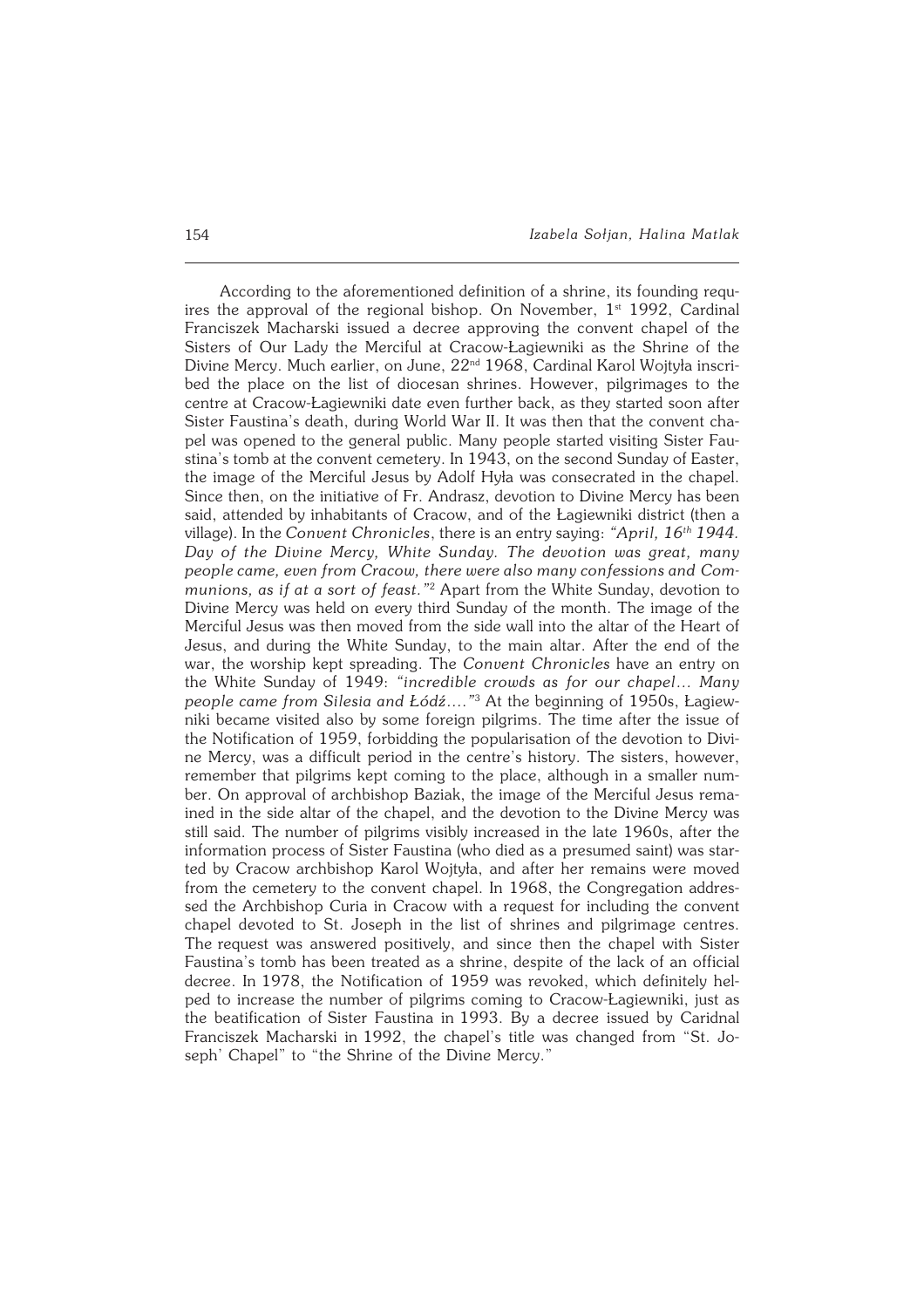According to the aforementioned definition of a shrine, its founding requ− ires the approval of the regional bishop. On November,  $1<sup>st</sup>$  1992, Cardinal Franciszek Macharski issued a decree approving the convent chapel of the Sisters of Our Lady the Merciful at Cracow−Łagiewniki as the Shrine of the Divine Mercy. Much earlier, on June, 22<sup>nd</sup> 1968, Cardinal Karol Wojtyła inscribed the place on the list of diocesan shrines. However, pilgrimages to the centre at Cracow−Łagiewniki date even further back, as they started soon after Sister Faustina's death, during World War II. It was then that the convent cha− pel was opened to the general public. Many people started visiting Sister Fau− stina's tomb at the convent cemetery. In 1943, on the second Sunday of Easter, the image of the Merciful Jesus by Adolf Hyła was consecrated in the chapel. Since then, on the initiative of Fr. Andrasz, devotion to Divine Mercy has been said, attended by inhabitants of Cracow, and of the Łagiewniki district (then a village). In the *Convent Chronicles*, there is an entry saying: *"April, 16th 1944. Day of the Divine Mercy, White Sunday. The devotion was great, many people came, even from Cracow, there were also many confessions and Com− munions, as if at a sort of feast."*<sup>2</sup> Apart from the White Sunday, devotion to Divine Mercy was held on every third Sunday of the month. The image of the Merciful Jesus was then moved from the side wall into the altar of the Heart of Jesus, and during the White Sunday, to the main altar. After the end of the war, the worship kept spreading. The *Convent Chronicles* have an entry on the White Sunday of 1949: *"incredible crowds as for our chapel… Many people came from Silesia and Łódź…*.*"* 3 At the beginning of 1950s, Łagiew− niki became visited also by some foreign pilgrims. The time after the issue of the Notification of 1959, forbidding the popularisation of the devotion to Divi− ne Mercy, was a difficult period in the centre's history. The sisters, however, remember that pilgrims kept coming to the place, although in a smaller num− ber. On approval of archbishop Baziak, the image of the Merciful Jesus remained in the side altar of the chapel, and the devotion to the Divine Mercy was still said. The number of pilgrims visibly increased in the late 1960s, after the information process of Sister Faustina (who died as apresumed saint) was star− ted by Cracow archbishop Karol Wojtyła, and after her remains were moved from the cemetery to the convent chapel. In 1968, the Congregation addres− sed the Archbishop Curia in Cracow with a request for including the convent chapel devoted to St. Joseph in the list of shrines and pilgrimage centres. The request was answered positively, and since then the chapel with Sister Faustina's tomb has been treated as a shrine, despite of the lack of an official decree. In 1978, the Notification of 1959 was revoked, which definitely hel− ped to increase the number of pilgrims coming to Cracow−Łagiewniki, just as the beatification of Sister Faustina in 1993. By a decree issued by Caridnal Franciszek Macharski in1992, the chapel's title was changed from "St. Jo− seph' Chapel" to "the Shrine of the Divine Mercy."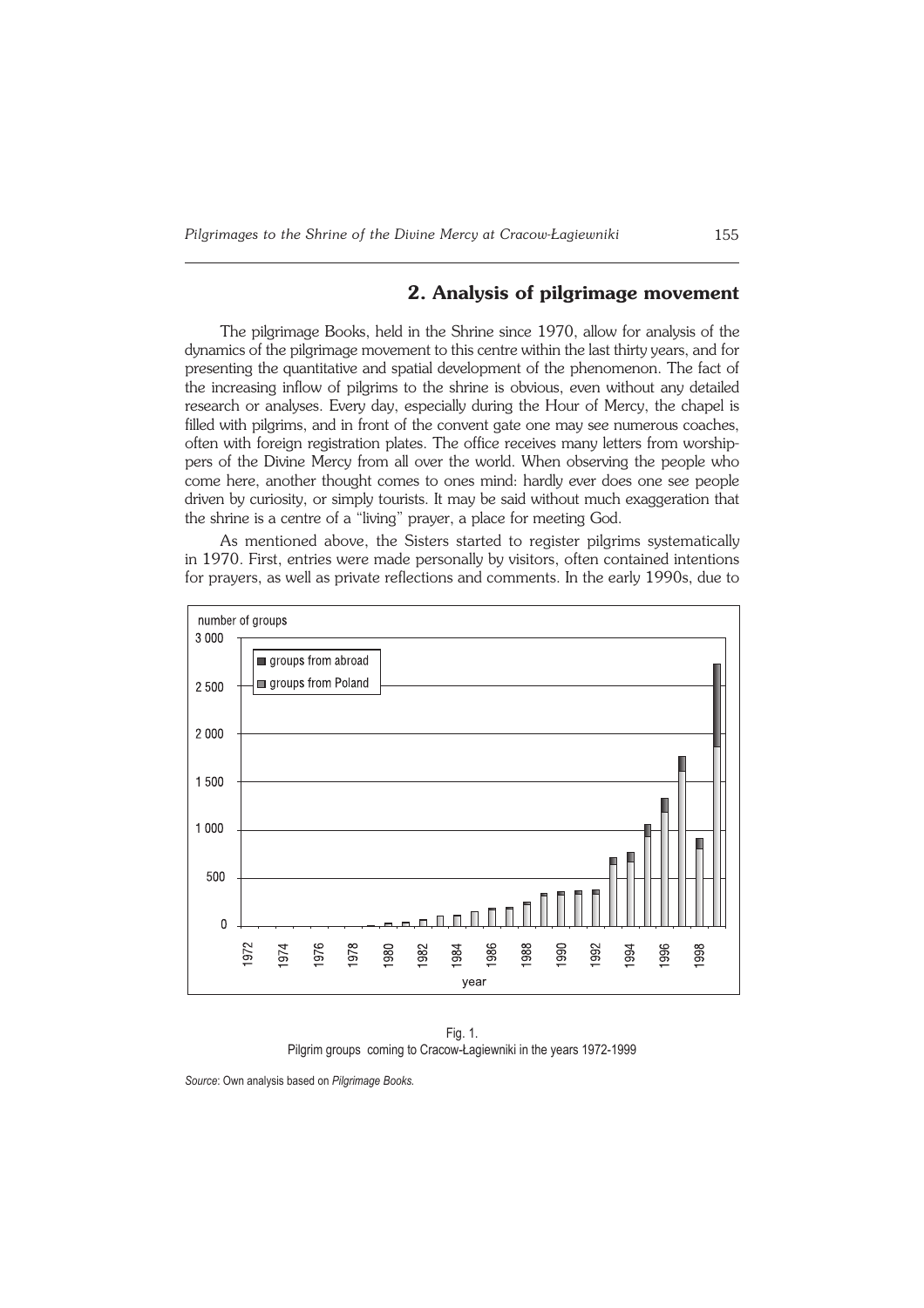### **2. Analysis of pilgrimage movement**

The pilgrimage Books, held in the Shrine since 1970, allow for analysis of the dynamics of the pilgrimage movement to this centre within the last thirty years, and for presenting the quantitative and spatial development of the phenomenon. The fact of the increasing inflow of pilgrims to the shrine is obvious, even without any detailed research or analyses. Every day, especially during the Hour of Mercy, the chapel is filled with pilgrims, and in front of the convent gate one may see numerous coaches, often with foreign registration plates. The office receives many letters from worship− pers of the Divine Mercy from all over the world. When observing the people who come here, another thought comes to ones mind: hardly ever does one see people driven by curiosity, or simply tourists. It may be said without much exaggeration that the shrine is a centre of a "living" prayer, a place for meeting God.

As mentioned above, the Sisters started to register pilgrims systematically in1970. First, entries were made personally by visitors, often contained intentions for prayers, as well as private reflections and comments. In the early 1990s, due to



Fig. 1. Pilgrim groups coming to Cracow-Łagiewniki in the years 1972-1999

Source: Own analysis based on Pilgrimage Books.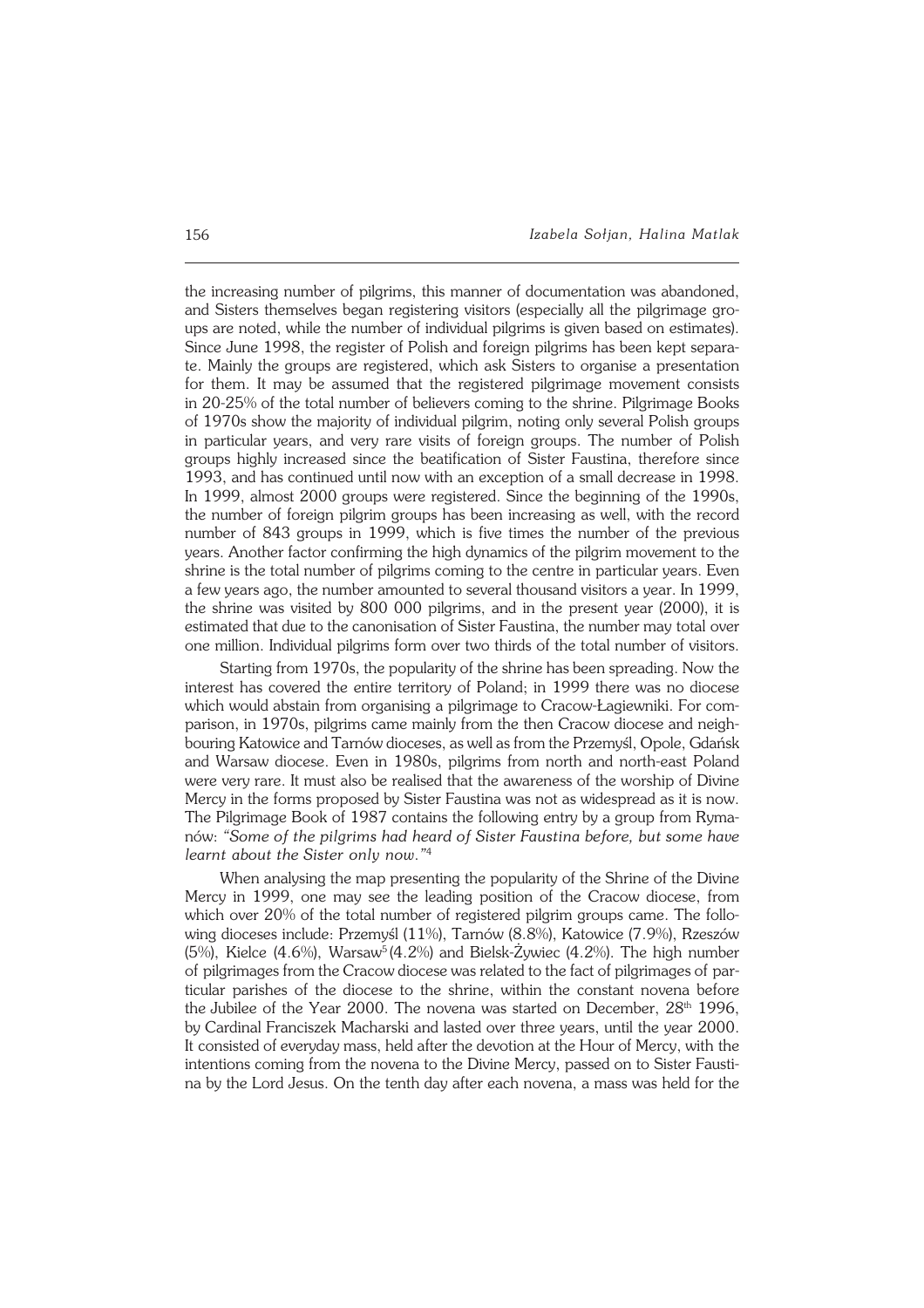the increasing number of pilgrims, this manner of documentation was abandoned, and Sisters themselves began registering visitors (especially all the pilgrimage gro− ups are noted, while the number of individual pilgrims is given based on estimates). Since June 1998, the register of Polish and foreign pilgrims has been kept separa− te. Mainly the groups are registered, which ask Sisters to organise a presentation for them. It may be assumed that the registered pilgrimage movement consists in20−25% of the total number of believers coming to the shrine. Pilgrimage Books of 1970s show the majority of individual pilgrim, noting only several Polish groups in particular years, and very rare visits of foreign groups. The number of Polish groups highly increased since the beatification of Sister Faustina, therefore since 1993, and has continued until now with an exception of a small decrease in 1998. In 1999, almost 2000 groups were registered. Since the beginning of the 1990s, the number of foreign pilgrim groups has been increasing as well, with the record number of 843 groups in 1999, which is five times the number of the previous years. Another factor confirming the high dynamics of the pilgrim movement to the shrine is the total number of pilgrims coming to the centre in particular years. Even a few years ago, the number amounted to several thousand visitors a year. In 1999, the shrine was visited by 800 000 pilgrims, and in the present year (2000), it is estimated that due to the canonisation of Sister Faustina, the number may total over one million. Individual pilgrims form over two thirds of the total number of visitors.

Starting from 1970s, the popularity of the shrine has been spreading. Now the interest has covered the entire territory of Poland; in 1999 there was no diocese which would abstain from organising a pilgrimage to Cracow-Łagiewniki. For com− parison, in 1970s, pilgrims came mainly from the then Cracow diocese and neighbouring Katowice and Tarnów dioceses, as well as from the Przemyśl, Opole, Gdańsk and Warsaw diocese. Even in 1980s, pilgrims from north and north−east Poland were very rare. It must also be realised that the awareness of the worship of Divine Mercy in the forms proposed by Sister Faustina was not as widespread as it is now. The Pilgrimage Book of 1987 contains the following entry by a group from Ryma− nów: *"Some ofthepilgrims had heard of Sister Faustina before, but some have* learnt about the Sister only now."<sup>4</sup>

When analysing the map presenting the popularity of the Shrine of the Divine Mercy in 1999, one may see the leading position of the Cracow diocese, from which over 20% of the total number of registered pilgrim groups came. The following dioceses include: Przemyśl (11%), Tarnów (8.8%), Katowice (7.9%), Rzeszów (5%), Kielce (4.6%), Warsaw<sup>5</sup> (4.2%) and Bielsk−Żywiec (4.2%). The high number of pilgrimages from the Cracow diocese was related to the fact of pilgrimages of par− ticular parishes of the diocese to the shrine, within the constant novena before the Jubilee of the Year 2000. The novena was started on December,  $28<sup>th</sup>$  1996, byCardinal Franciszek Macharski and lasted over three years, until the year 2000. It consisted of everyday mass, held after the devotion at the Hour of Mercy, with the intentions coming from the novena to the Divine Mercy, passed on to Sister Fausti− na by the Lord Jesus. On the tenth day after each novena, a mass was held for the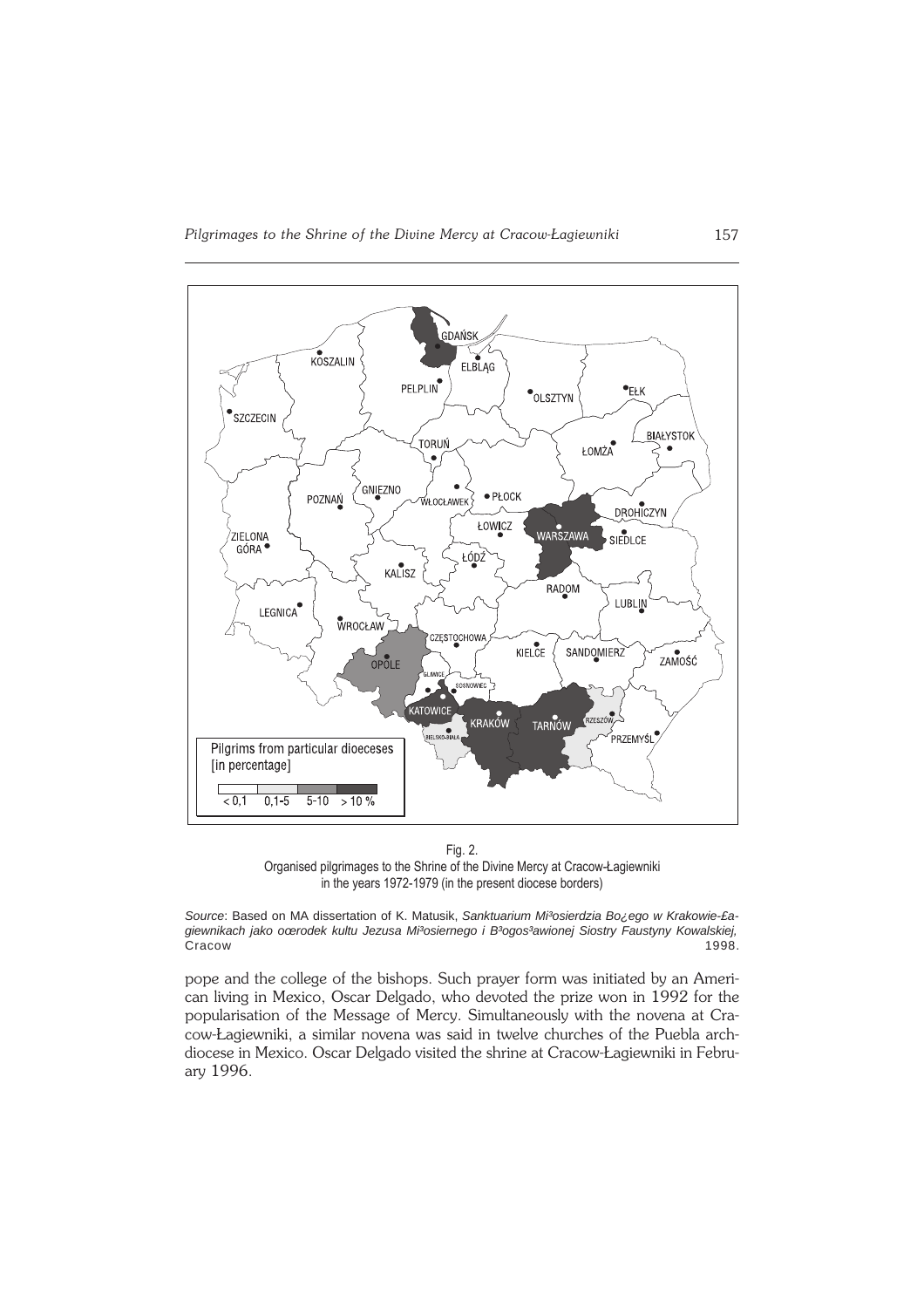

Fig. 2. Organised pilgrimages to the Shrine of the Divine Mercy at Cracow-Łagiewniki in the years 1972-1979 (in the present diocese borders)

Source: Based on MA dissertation of K. Matusik, Sanktuarium Mi<sup>3</sup>osierdzia Bo<sub>izerd</sub>o w Krakowie-£agiewnikach jako oœrodek kultu Jezusa Mi<sup>3</sup>osiernego i B<sup>3</sup>ogos<sup>3</sup>awionej Siostry Faustyny Kowalskiej, Cracow 1998.

pope and the college of the bishops. Such prayer form was initiated by an American living in Mexico, Oscar Delgado, who devoted the prize won in 1992 for the popularisation of the Message of Mercy. Simultaneously with the novena at Cra− cow−Łagiewniki, a similar novena was said in twelve churches of the Puebla arch− diocese in Mexico. Oscar Delgado visited the shrine at Cracow−Łagiewniki in Febru− ary1996.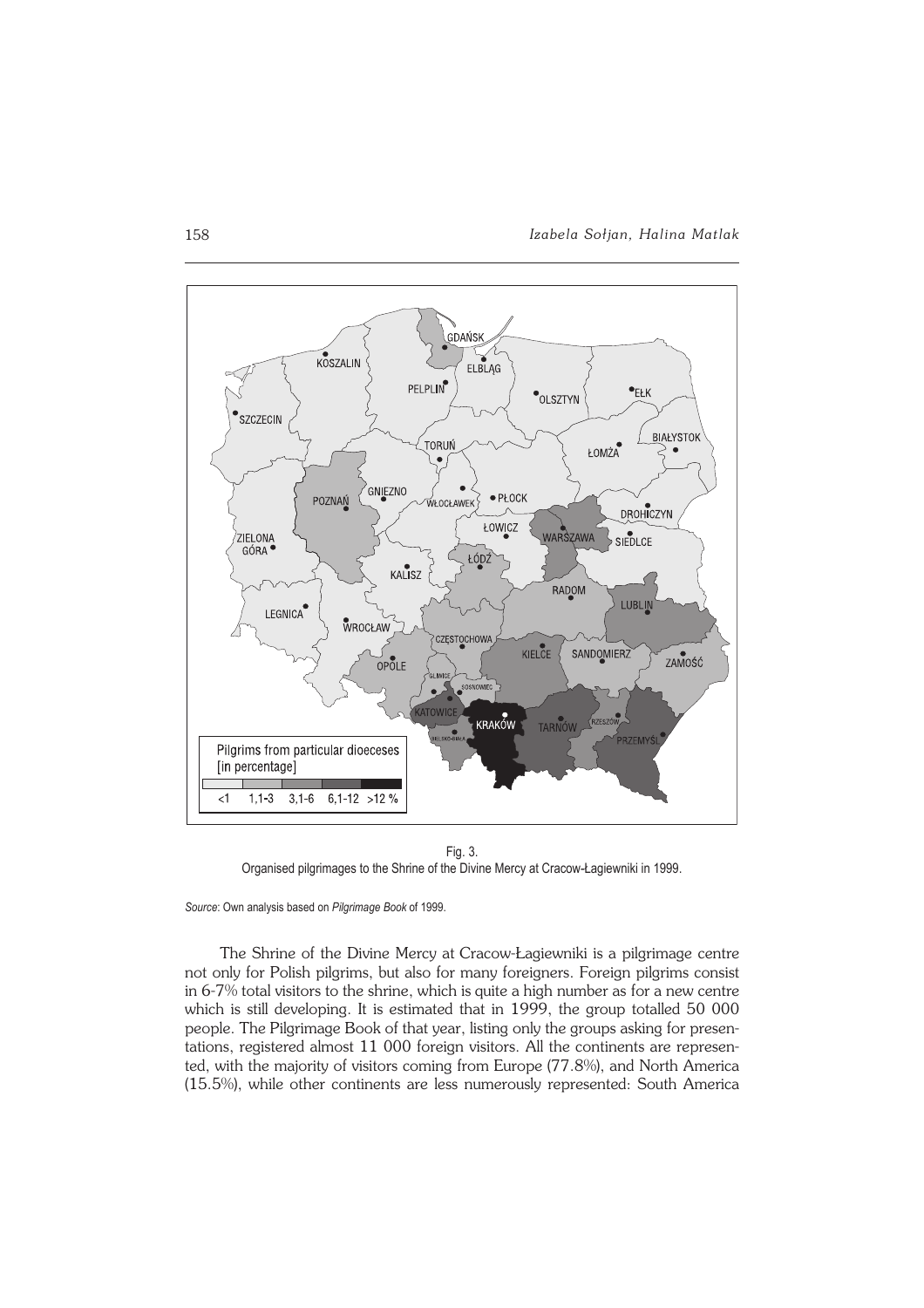

Fig. 3. Organised pilgrimages to the Shrine of the Divine Mercy at Cracow-Łagiewniki in 1999.

Source: Own analysis based on Pilgrimage Book of 1999.

The Shrine of the Divine Mercy at Cracow-Łagiewniki is a pilgrimage centre not only for Polish pilgrims, but also for many foreigners. Foreign pilgrims consist in 6-7% total visitors to the shrine, which is quite a high number as for a new centre which is still developing. It is estimated that in 1999, the group totalled 50 000 people. The Pilgrimage Book of that year, listing only the groups asking for presen− tations, registered almost 11 000 foreign visitors. All the continents are represen− ted, with the majority of visitors coming from Europe (77.8%), and North America (15.5%), while other continents are less numerously represented: South America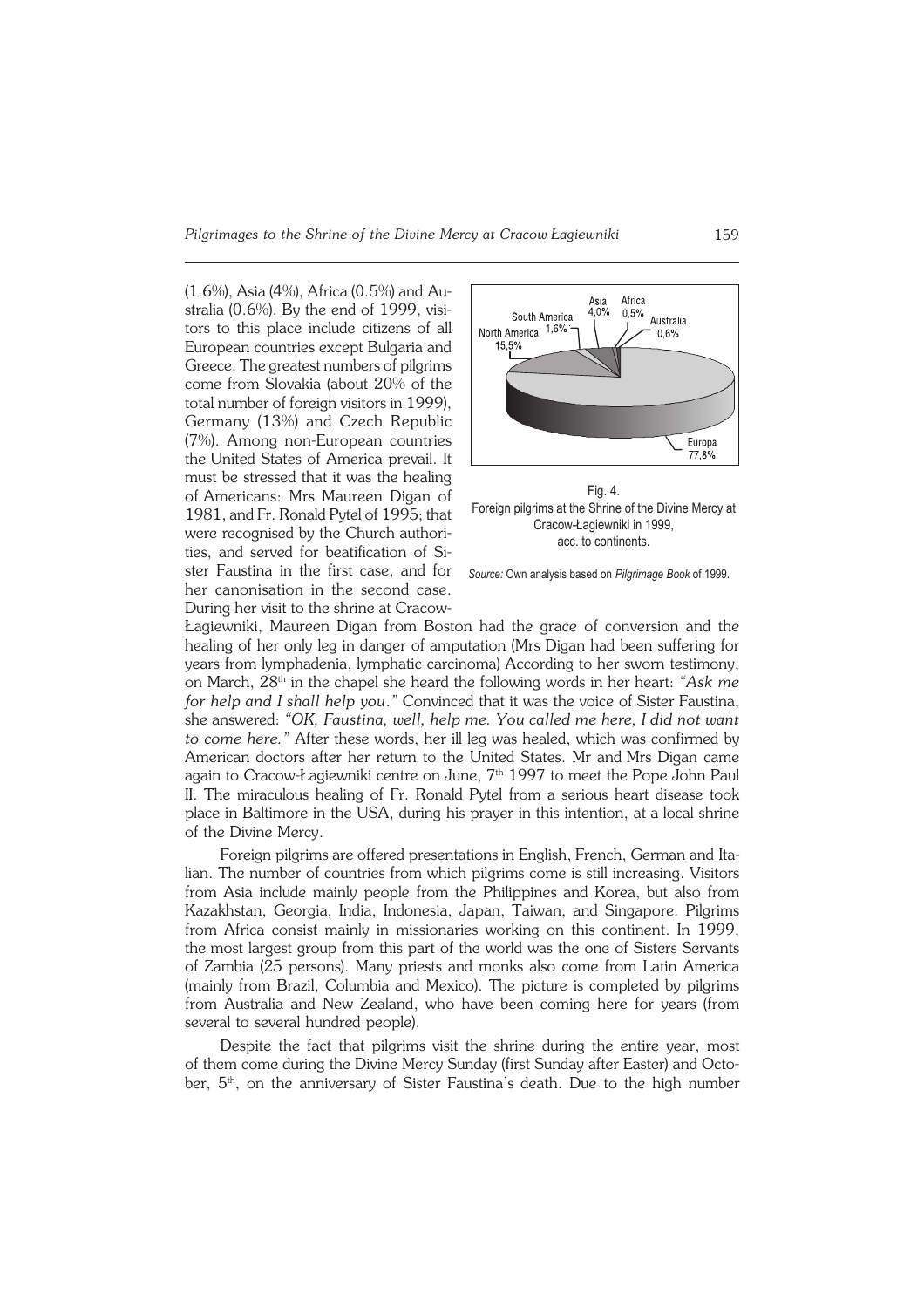*Pilgrimages to the Shrine of the Divine Mercy at Cracow−Łagiewniki* 159

(1.6%), Asia (4%), Africa (0.5%) and Australia (0.6%). By the end of 1999, visi− tors to this place include citizens of all European countries except Bulgaria and Greece. The greatest numbers of pilgrims come from Slovakia (about 20% of the total number of foreign visitors in 1999), Germany (13%) and Czech Republic (7%). Among non−European countries the United States of America prevail. It must be stressed that it was the healing ofAmericans: Mrs Maureen Digan of 1981, and Fr. Ronald Pytel of 1995; that were recognised by the Church authori− ties, and served for beatification of Si− ster Faustina in the first case, and for her canonisation in the second case. During her visit to the shrine at Cracow−



Foreign pilgrims at the Shrine of the Divine Mercy at Cracow-Łagiewniki in 1999, acc. to continents.



Łagiewniki, Maureen Digan from Boston had the grace of conversion and the healing of her only leg in danger of amputation (Mrs Digan had been suffering for years from lymphadenia, lymphatic carcinoma) According to her sworn testimony, on March, 28th in the chapel she heard the following words in her heart: *"Ask me for help and I shall help you.*" Convinced that it was the voice of Sister Faustina, she answered: *"OK, Faustina, well, help me. You called me here, I did not want to come here."* After these words, her ill leg was healed, which was confirmed by American doctors after her return to the United States. Mr andMrs Digan came again to Cracow-Łagiewniki centre on June, 7<sup>th</sup> 1997 to meet the Pope John Paul II. The miraculous healing of Fr. Ronald Pytel from a serious heart disease took place in Baltimore in the USA, during his prayer in this intention, at a local shrine of the Divine Mercy.

Foreign pilgrims are offered presentations in English, French, German and Italian. The number of countries from which pilgrims come is still increasing. Visitors from Asia include mainly people from the Philippines and Korea, but also from Kazakhstan, Georgia, India, Indonesia, Japan, Taiwan, and Singapore. Pilgrims from Africa consist mainly in missionaries working on this continent. In 1999, themost largest group from this part of the world was the one of Sisters Servants of Zambia (25 persons). Many priests and monks also come from Latin America (mainly from Brazil, Columbia and Mexico). The picture is completed by pilgrims from Australia and New Zealand, who have been coming here for years (from several to several hundred people).

Despite the fact that pilgrims visit the shrine during the entire year, most of them come during the Divine Mercy Sunday (first Sunday after Easter) and Octo− ber,  $5<sup>th</sup>$ , on the anniversary of Sister Faustina's death. Due to the high number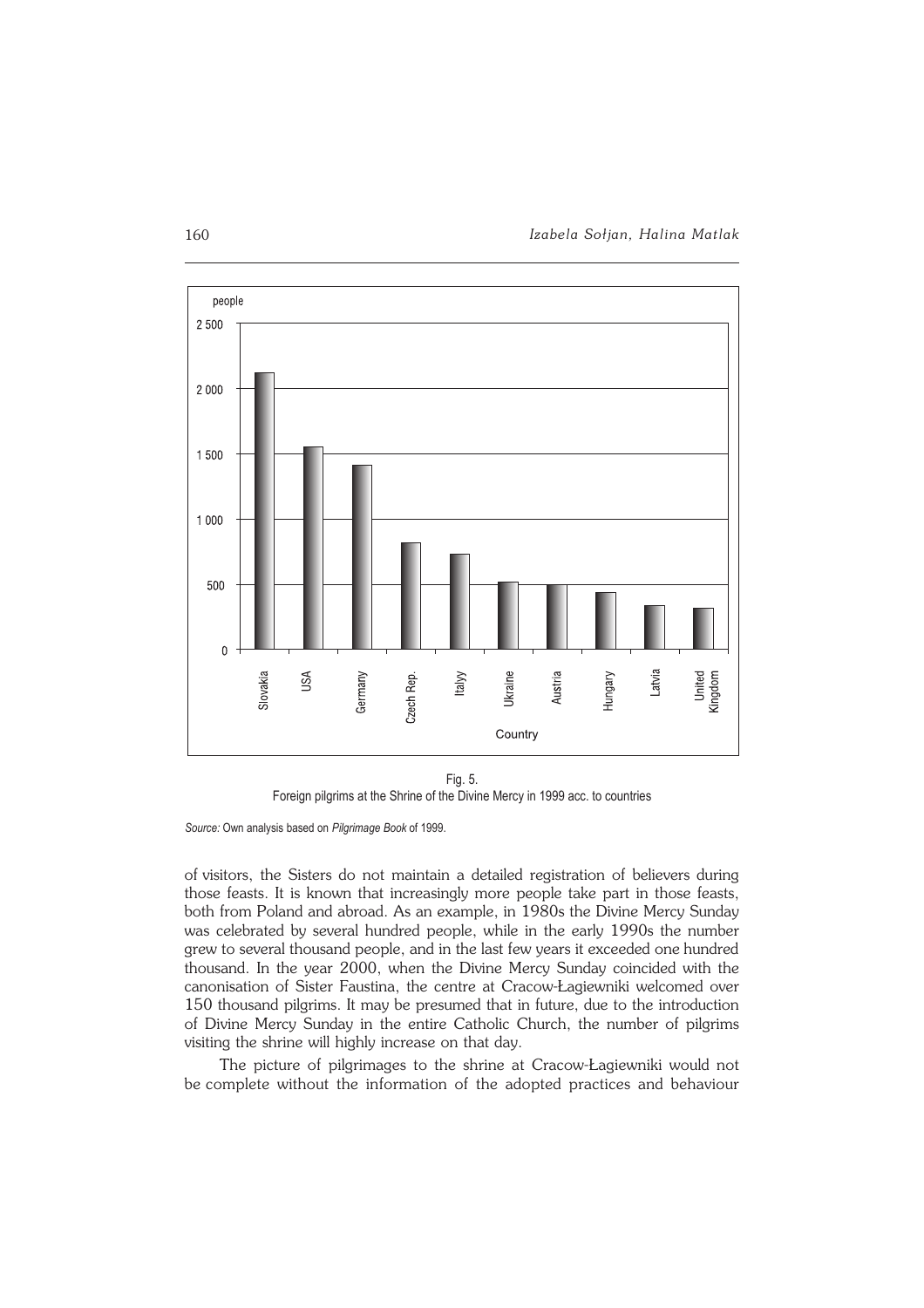

Fig. 5. Foreign pilgrims at the Shrine of the Divine Mercy in 1999 acc. to countries

Source: Own analysis based on Pilgrimage Book of 1999.

of visitors, the Sisters do not maintain a detailed registration of believers during those feasts. It is known that increasingly more people take part in those feasts, both from Poland and abroad. As an example, in 1980s the Divine Mercy Sunday was celebrated by several hundred people, while in the early 1990s the number grew to several thousand people, and in the last few years it exceeded one hundred thousand. In the year 2000, when the Divine Mercy Sunday coincided with the canonisation of Sister Faustina, the centre at Cracow−Łagiewniki welcomed over 150 thousand pilgrims. It may be presumed that in future, due to the introduction of Divine Mercy Sunday in the entire Catholic Church, the number of pilgrims visiting the shrine will highly increase on that day.

The picture of pilgrimages to the shrine at Cracow−Łagiewniki would not be complete without the information of the adopted practices and behaviour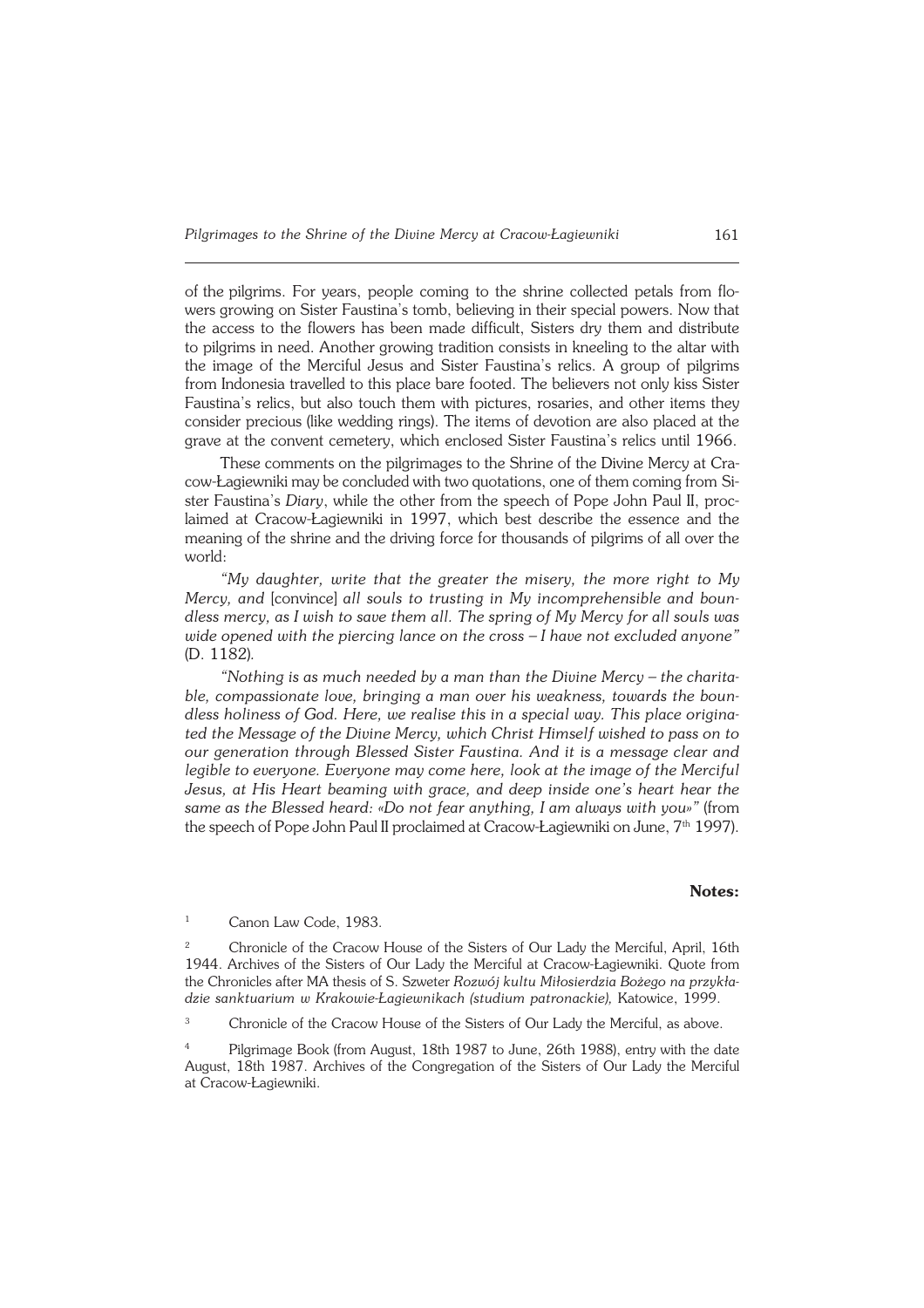of the pilgrims. For years, people coming to the shrine collected petals from flo− wers growing on Sister Faustina's tomb, believing in their special powers. Now that the access to the flowers has been made difficult, Sisters dry them and distribute to pilgrims in need. Another growing tradition consists in kneeling to the altar with the image of the Merciful Jesus and Sister Faustina's relics. A group of pilgrims from Indonesia travelled to this place bare footed. The believers not only kiss Sister Faustina's relics, but also touch them with pictures, rosaries, and other items they consider precious (like wedding rings). The items of devotion are also placed at the grave at the convent cemetery, which enclosed Sister Faustina's relics until 1966.

These comments on the pilgrimages to the Shrine of the Divine Mercy at Cra− cow−Łagiewniki may be concluded with two quotations, one of them coming fromSi− ster Faustina's *Diary*, while the other from the speech of Pope John Paul II, proc− laimed at Cracow−Łagiewniki in 1997, which best describe the essence and the meaning of the shrine and the driving force for thousands of pilgrims of all over the world:

*"My daughter, write that the greater the misery, the more right to My Mercy, and* [convince] *all souls to trusting in My incomprehensible and boun− dless mercy, as I wish to save them all. The spring of My Mercy for all souls was wide opened with the piercing lance on the cross – I have not excluded anyone"* (D.1182)*.*

*"Nothing is as much needed by a man than the Divine Mercy – the charita− ble, compassionate love, bringing a man over his weakness, towards the boun− dless holiness of God. Here, we realise this in a special way. This place origina− ted the Message of the Divine Mercy, which Christ Himself wished to pass on to our generation through Blessed Sister Faustina. And it is a message clear and legible to everyone. Everyone may come here, look at the image of the Merciful Jesus, at His Heart beaming with grace, and deep inside one's heart hear the same as the Blessed heard: «Do not fear anything, I am always with you»"* (from the speech of Pope John Paul II proclaimed at Cracow-Łagiewniki on June, 7<sup>th</sup> 1997).

#### **Notes:**

<sup>1</sup> Canon Law Code, 1983.

<sup>2</sup> Chronicle of the Cracow House of the Sisters of Our Lady the Merciful, April, 16th 1944. Archives of the Sisters of Our Lady the Merciful at Cracow−Łagiewniki. Quote from the Chronicles after MA thesis of S. Szweter *Rozwój kultu Miłosierdzia Bożego na przykła− dzie sanktuarium w Krakowie−Łagiewnikach (studium patronackie),* Katowice, 1999.

<sup>3</sup> Chronicle of the Cracow House of the Sisters of Our Lady the Merciful, as above.

<sup>4</sup> Pilgrimage Book (from August, 18th 1987 to June, 26th 1988), entry with the date August, 18th 1987. Archives of the Congregation of the Sisters of Our Lady the Merciful at Cracow-Łagiewniki.